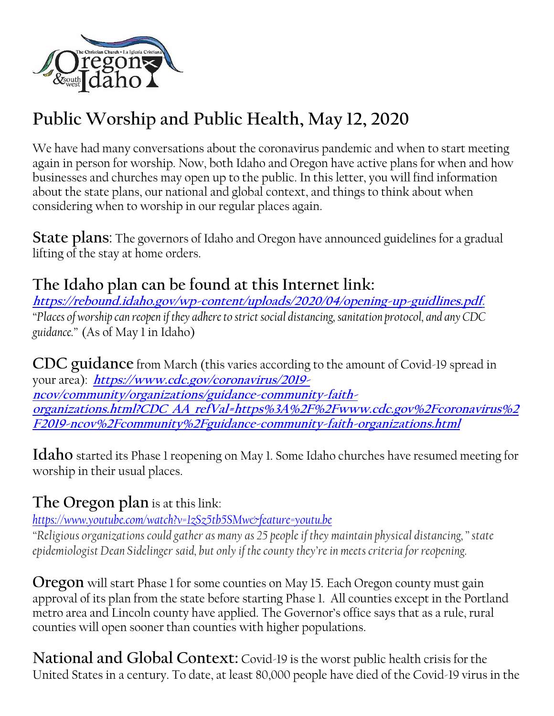

# **Public Worship and Public Health, May 12, 2020**

We have had many conversations about the coronavirus pandemic and when to start meeting again in person for worship. Now, both Idaho and Oregon have active plans for when and how businesses and churches may open up to the public. In this letter, you will find information about the state plans, our national and global context, and things to think about when considering when to worship in our regular places again.

**State plans**: The governors of Idaho and Oregon have announced guidelines for a gradual lifting of the stay at home orders.

### **The Idaho plan can be found at this Internet link:**

**[https://rebound.idaho.gov/wp-content/uploads/2020/04/opening-up-guidlines.pdf.](about:blank)** *"Places of worship can reopen if they adhere to strict social distancing, sanitation protocol, and any CDC guidance."* (As of May 1 in Idaho)

**CDC guidance** from March (this varies according to the amount of Covid-19 spread in your area): **[https://www.cdc.gov/coronavirus/2019](https://www.cdc.gov/coronavirus/2019-ncov/community/organizations/guidance-community-faith-organizations.html?CDC_AA_refVal=https%3A%2F%2Fwww.cdc.gov%2Fcoronavirus%2F2019-ncov%2Fcommunity%2Fguidance-community-faith-organizations.html) [ncov/community/organizations/guidance-community-faith](https://www.cdc.gov/coronavirus/2019-ncov/community/organizations/guidance-community-faith-organizations.html?CDC_AA_refVal=https%3A%2F%2Fwww.cdc.gov%2Fcoronavirus%2F2019-ncov%2Fcommunity%2Fguidance-community-faith-organizations.html)[organizations.html?CDC\\_AA\\_refVal=https%3A%2F%2Fwww.cdc.gov%2Fcoronavirus%2](https://www.cdc.gov/coronavirus/2019-ncov/community/organizations/guidance-community-faith-organizations.html?CDC_AA_refVal=https%3A%2F%2Fwww.cdc.gov%2Fcoronavirus%2F2019-ncov%2Fcommunity%2Fguidance-community-faith-organizations.html) [F2019-ncov%2Fcommunity%2Fguidance-community-faith-organizations.html](https://www.cdc.gov/coronavirus/2019-ncov/community/organizations/guidance-community-faith-organizations.html?CDC_AA_refVal=https%3A%2F%2Fwww.cdc.gov%2Fcoronavirus%2F2019-ncov%2Fcommunity%2Fguidance-community-faith-organizations.html)**

**Idaho** started its Phase 1 reopening on May 1. Some Idaho churches have resumed meeting for worship in their usual places.

### **The Oregon plan** is at this link:

*[https://www.youtube.com/watch?v=1zSz5tb5SMw&feature=youtu.be](about:blank)*

*"Religious organizations could gather as many as 25 people if they maintain physical distancing," state epidemiologist Dean Sidelinger said, but only if the county they're in meets criteria for reopening.*

**Oregon** will start Phase 1 for some counties on May 15. Each Oregon county must gain approval of its plan from the state before starting Phase 1. All counties except in the Portland metro area and Lincoln county have applied. The Governor's office says that as a rule, rural counties will open sooner than counties with higher populations.

**National and Global Context:** Covid-19 is the worst public health crisis for the United States in a century. To date, at least 80,000 people have died of the Covid-19 virus in the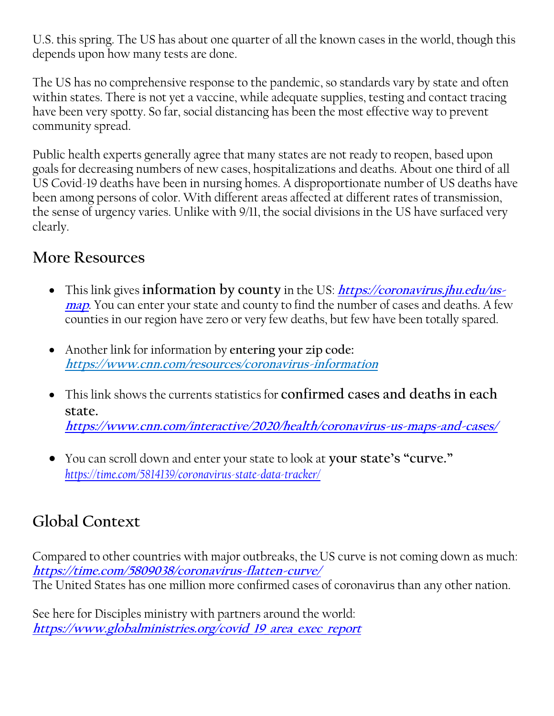U.S. this spring. The US has about one quarter of all the known cases in the world, though this depends upon how many tests are done.

The US has no comprehensive response to the pandemic, so standards vary by state and often within states. There is not yet a vaccine, while adequate supplies, testing and contact tracing have been very spotty. So far, social distancing has been the most effective way to prevent community spread.

Public health experts generally agree that many states are not ready to reopen, based upon goals for decreasing numbers of new cases, hospitalizations and deaths. About one third of all US Covid-19 deaths have been in nursing homes. A disproportionate number of US deaths have been among persons of color. With different areas affected at different rates of transmission, the sense of urgency varies. Unlike with 9/11, the social divisions in the US have surfaced very clearly.

#### **More Resources**

- This link gives **information** by county in the US: *[https://coronavirus.jhu.edu/us](about:blank)***[map](about:blank)**. You can enter your state and county to find the number of cases and deaths. A few counties in our region have zero or very few deaths, but few have been totally spared.
- Another link for information by **entering your zip code: https://www.cnn.com/resources/coronavirus-information**
- This link shows the currents statistics for **confirmed cases and deaths in each state. [https://www.cnn.com/interactive/2020/health/coronavirus-us-maps-and-cases/](about:blank)**
- You can scroll down and enter your state to look at **your state's "curve."** *[https://time.com/5814139/coronavirus-state-data-tracker/](about:blank)*

## **Global Context**

Compared to other countries with major outbreaks, the US curve is not coming down as much: **[https://time.com/5809038/coronavirus-flatten-curve/](about:blank)** The United States has one million more confirmed cases of coronavirus than any other nation.

See here for Disciples ministry with partners around the world: **[https://www.globalministries.org/covid\\_19\\_area\\_exec\\_report](about:blank)**